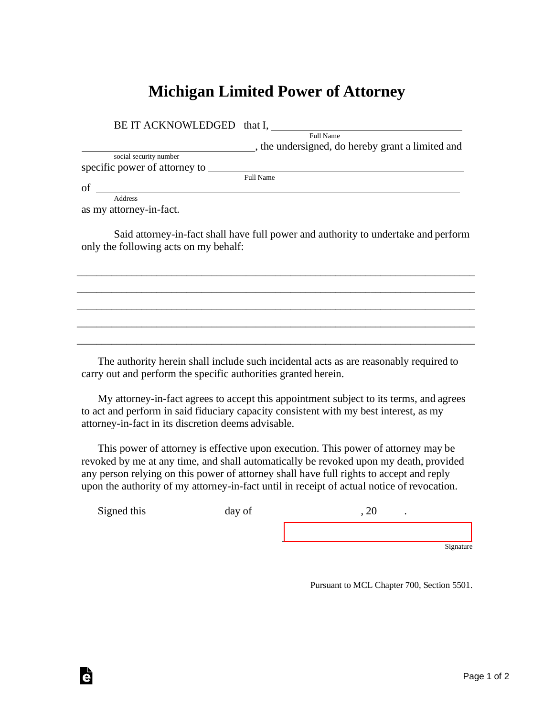## **Michigan Limited Power of Attorney**

| BE IT ACKNOWLEDGED that I,    |                                                  |
|-------------------------------|--------------------------------------------------|
|                               | Full Name                                        |
|                               | , the undersigned, do hereby grant a limited and |
| social security number        |                                                  |
| specific power of attorney to |                                                  |
|                               | <b>Full Name</b>                                 |
| of                            |                                                  |
| Address                       |                                                  |

as my attorney-in-fact.

Ġ

Said attorney-in-fact shall have full power and authority to undertake and perform only the following acts on my behalf:

\_\_\_\_\_\_\_\_\_\_\_\_\_\_\_\_\_\_\_\_\_\_\_\_\_\_\_\_\_\_\_\_\_\_\_\_\_\_\_\_\_\_\_\_\_\_\_\_\_\_\_\_\_\_\_\_\_\_\_\_\_\_\_\_\_\_\_\_\_\_\_\_\_\_\_\_\_\_\_\_ \_\_\_\_\_\_\_\_\_\_\_\_\_\_\_\_\_\_\_\_\_\_\_\_\_\_\_\_\_\_\_\_\_\_\_\_\_\_\_\_\_\_\_\_\_\_\_\_\_\_\_\_\_\_\_\_\_\_\_\_\_\_\_\_\_\_\_\_\_\_\_\_\_\_\_\_\_\_\_\_ \_\_\_\_\_\_\_\_\_\_\_\_\_\_\_\_\_\_\_\_\_\_\_\_\_\_\_\_\_\_\_\_\_\_\_\_\_\_\_\_\_\_\_\_\_\_\_\_\_\_\_\_\_\_\_\_\_\_\_\_\_\_\_\_\_\_\_\_\_\_\_\_\_\_\_\_\_\_\_\_ \_\_\_\_\_\_\_\_\_\_\_\_\_\_\_\_\_\_\_\_\_\_\_\_\_\_\_\_\_\_\_\_\_\_\_\_\_\_\_\_\_\_\_\_\_\_\_\_\_\_\_\_\_\_\_\_\_\_\_\_\_\_\_\_\_\_\_\_\_\_\_\_\_\_\_\_\_\_\_\_ \_\_\_\_\_\_\_\_\_\_\_\_\_\_\_\_\_\_\_\_\_\_\_\_\_\_\_\_\_\_\_\_\_\_\_\_\_\_\_\_\_\_\_\_\_\_\_\_\_\_\_\_\_\_\_\_\_\_\_\_\_\_\_\_\_\_\_\_\_\_\_\_\_\_\_\_\_\_\_\_

The authority herein shall include such incidental acts as are reasonably required to carry out and perform the specific authorities granted herein.

My attorney-in-fact agrees to accept this appointment subject to its terms, and agrees to act and perform in said fiduciary capacity consistent with my best interest, as my attorney-in-fact in its discretion deems advisable.

This power of attorney is effective upon execution. This power of attorney may be revoked by me at any time, and shall automatically be revoked upon my death, provided any person relying on this power of attorney shall have full rights to accept and reply upon the authority of my attorney-in-fact until in receipt of actual notice of revocation.

Signed this  $\qquad \qquad \text{day of} \qquad \qquad 20 \qquad .$ 

**Signature** 

Pursuant to MCL Chapter 700, Section 5501.